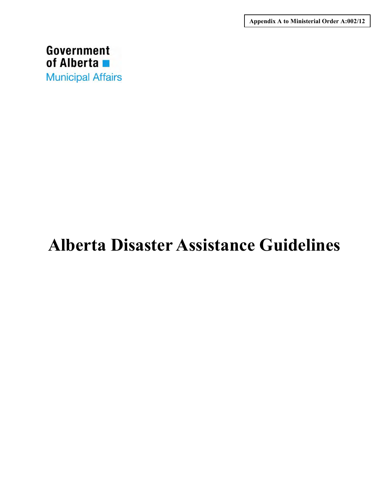**Appendix A to Ministerial Order A:002/12**



# **Alberta Disaster Assistance Guidelines**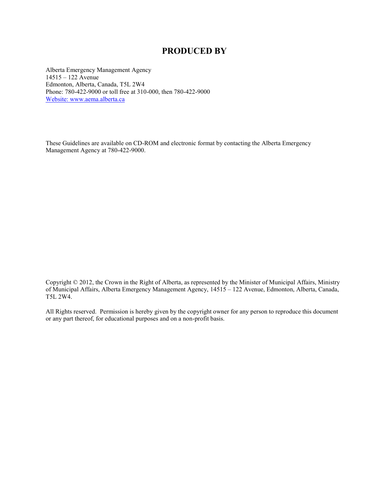### **PRODUCED BY**

Alberta Emergency Management Agency 14515 – 122 Avenue Edmonton, Alberta, Canada, T5L 2W4 Phone: 780-422-9000 or toll free at 310-000, then 780-422-9000 Website: [www.aema.alberta.ca](http://www.aema.alberta.ca/)

These Guidelines are available on CD-ROM and electronic format by contacting the Alberta Emergency Management Agency at 780-422-9000.

Copyright © 2012, the Crown in the Right of Alberta, as represented by the Minister of Municipal Affairs, Ministry of Municipal Affairs, Alberta Emergency Management Agency, 14515 – 122 Avenue, Edmonton, Alberta, Canada, T5L 2W4.

All Rights reserved. Permission is hereby given by the copyright owner for any person to reproduce this document or any part thereof, for educational purposes and on a non-profit basis.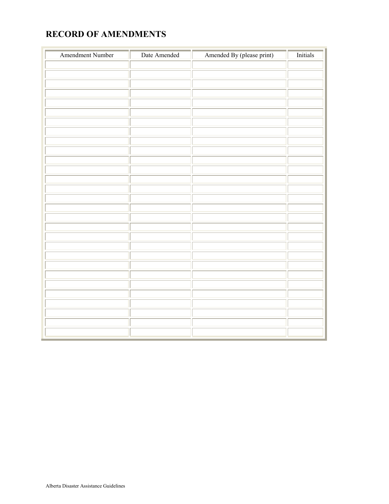# **RECORD OF AMENDMENTS**

| <b>Amendment Number</b> | Date Amended | Amended By (please print) | <b>Initials</b> |
|-------------------------|--------------|---------------------------|-----------------|
|                         |              |                           |                 |
|                         |              |                           |                 |
|                         |              |                           |                 |
|                         |              |                           |                 |
|                         |              |                           |                 |
|                         |              |                           |                 |
|                         |              |                           |                 |
|                         |              |                           |                 |
|                         |              |                           |                 |
|                         |              |                           |                 |
|                         |              |                           |                 |
|                         |              |                           |                 |
|                         |              |                           |                 |
|                         |              |                           |                 |
|                         |              |                           |                 |
|                         |              |                           |                 |
|                         |              |                           |                 |
|                         |              |                           |                 |
|                         |              |                           |                 |
|                         |              |                           |                 |
|                         |              |                           |                 |
|                         |              |                           |                 |
|                         |              |                           |                 |
|                         |              |                           |                 |
|                         |              |                           |                 |
|                         |              |                           |                 |
|                         |              |                           |                 |
|                         |              |                           |                 |
|                         |              |                           |                 |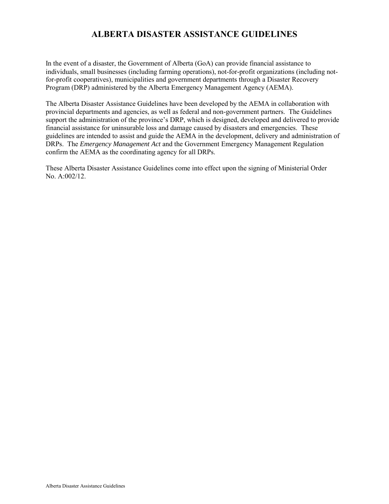# **ALBERTA DISASTER ASSISTANCE GUIDELINES**

In the event of a disaster, the Government of Alberta (GoA) can provide financial assistance to individuals, small businesses (including farming operations), not-for-profit organizations (including notfor-profit cooperatives), municipalities and government departments through a Disaster Recovery Program (DRP) administered by the Alberta Emergency Management Agency (AEMA).

The Alberta Disaster Assistance Guidelines have been developed by the AEMA in collaboration with provincial departments and agencies, as well as federal and non-government partners. The Guidelines support the administration of the province's DRP, which is designed, developed and delivered to provide financial assistance for uninsurable loss and damage caused by disasters and emergencies. These guidelines are intended to assist and guide the AEMA in the development, delivery and administration of DRPs. The *Emergency Management Act* and the Government Emergency Management Regulation confirm the AEMA as the coordinating agency for all DRPs.

These Alberta Disaster Assistance Guidelines come into effect upon the signing of Ministerial Order No. A:002/12.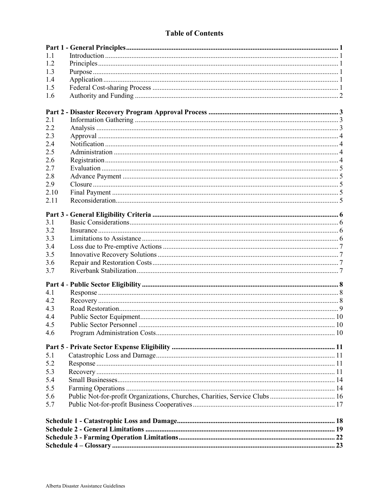### **Table of Contents**

| 11         |  |
|------------|--|
| 12         |  |
| 1.3        |  |
| 1.4        |  |
| 1.5        |  |
| 1.6        |  |
|            |  |
|            |  |
| 2.1<br>2.2 |  |
| 2.3        |  |
| 2.4        |  |
| 2.5        |  |
| 2.6        |  |
| 2.7        |  |
| 2.8        |  |
| 2.9        |  |
| 2.10       |  |
| 2.11       |  |
|            |  |
|            |  |
| 3.1        |  |
| 3.2        |  |
| 33         |  |
| 3.4        |  |
| 3.5        |  |
| 3.6        |  |
| 3.7        |  |
|            |  |
| 4.1        |  |
| 4.2        |  |
| 4.3        |  |
| 4.4        |  |
| 4.5        |  |
| 4.6        |  |
|            |  |
| 5.1        |  |
| 5.2        |  |
| 5.3        |  |
| 5.4        |  |
| 5.5        |  |
| 5.6        |  |
| 5.7        |  |
|            |  |
|            |  |
|            |  |
|            |  |
|            |  |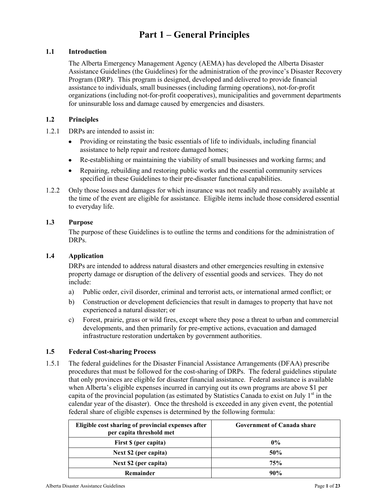# **Part 1 – General Principles**

#### **1.1 Introduction**

The Alberta Emergency Management Agency (AEMA) has developed the Alberta Disaster Assistance Guidelines (the Guidelines) for the administration of the province's Disaster Recovery Program (DRP). This program is designed, developed and delivered to provide financial assistance to individuals, small businesses (including farming operations), not-for-profit organizations (including not-for-profit cooperatives), municipalities and government departments for uninsurable loss and damage caused by emergencies and disasters.

#### **1.2 Principles**

- 1.2.1 DRPs are intended to assist in:
	- Providing or reinstating the basic essentials of life to individuals, including financial  $\bullet$ assistance to help repair and restore damaged homes;
	- Re-establishing or maintaining the viability of small businesses and working farms; and  $\bullet$
	- Repairing, rebuilding and restoring public works and the essential community services specified in these Guidelines to their pre-disaster functional capabilities.
- 1.2.2 Only those losses and damages for which insurance was not readily and reasonably available at the time of the event are eligible for assistance. Eligible items include those considered essential to everyday life.

#### **1.3 Purpose**

The purpose of these Guidelines is to outline the terms and conditions for the administration of DRPs.

#### **1.4 Application**

DRPs are intended to address natural disasters and other emergencies resulting in extensive property damage or disruption of the delivery of essential goods and services. They do not include:

- a) Public order, civil disorder, criminal and terrorist acts, or international armed conflict; or
- b) Construction or development deficiencies that result in damages to property that have not experienced a natural disaster; or
- c) Forest, prairie, grass or wild fires, except where they pose a threat to urban and commercial developments, and then primarily for pre-emptive actions, evacuation and damaged infrastructure restoration undertaken by government authorities.

#### **1.5 Federal Cost-sharing Process**

1.5.1 The federal guidelines for the Disaster Financial Assistance Arrangements (DFAA) prescribe procedures that must be followed for the cost-sharing of DRPs. The federal guidelines stipulate that only provinces are eligible for disaster financial assistance. Federal assistance is available when Alberta's eligible expenses incurred in carrying out its own programs are above \$1 per capita of the provincial population (as estimated by Statistics Canada to exist on July  $1<sup>st</sup>$  in the calendar year of the disaster). Once the threshold is exceeded in any given event, the potential federal share of eligible expenses is determined by the following formula:

| Eligible cost sharing of provincial expenses after<br>per capita threshold met | Government of Canada share |
|--------------------------------------------------------------------------------|----------------------------|
| First \$ (per capita)                                                          | $0\%$                      |
| Next \$2 (per capita)                                                          | 50%                        |
| Next \$2 (per capita)                                                          | 75%                        |
| Remainder                                                                      | $90\%$                     |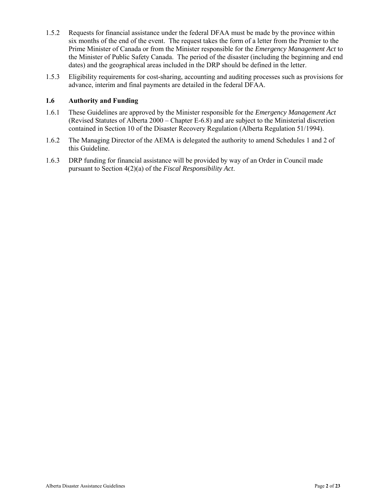- 1.5.2 Requests for financial assistance under the federal DFAA must be made by the province within six months of the end of the event. The request takes the form of a letter from the Premier to the Prime Minister of Canada or from the Minister responsible for the *Emergency Management Act* to the Minister of Public Safety Canada. The period of the disaster (including the beginning and end dates) and the geographical areas included in the DRP should be defined in the letter.
- 1.5.3 Eligibility requirements for cost-sharing, accounting and auditing processes such as provisions for advance, interim and final payments are detailed in the federal DFAA.

#### **1.6 Authority and Funding**

- 1.6.1 These Guidelines are approved by the Minister responsible for the *Emergency Management Act* (Revised Statutes of Alberta 2000 – Chapter E-6.8) and are subject to the Ministerial discretion contained in Section 10 of the Disaster Recovery Regulation (Alberta Regulation 51/1994).
- 1.6.2 The Managing Director of the AEMA is delegated the authority to amend Schedules 1 and 2 of this Guideline.
- 1.6.3 DRP funding for financial assistance will be provided by way of an Order in Council made pursuant to Section 4(2)(a) of the *Fiscal Responsibility Act*.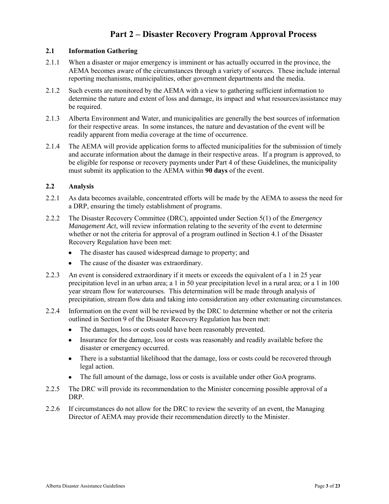## **Part 2 – Disaster Recovery Program Approval Process**

#### **2.1 Information Gathering**

- 2.1.1 When a disaster or major emergency is imminent or has actually occurred in the province, the AEMA becomes aware of the circumstances through a variety of sources. These include internal reporting mechanisms, municipalities, other government departments and the media.
- 2.1.2 Such events are monitored by the AEMA with a view to gathering sufficient information to determine the nature and extent of loss and damage, its impact and what resources/assistance may be required.
- 2.1.3 Alberta Environment and Water, and municipalities are generally the best sources of information for their respective areas. In some instances, the nature and devastation of the event will be readily apparent from media coverage at the time of occurrence.
- 2.1.4 The AEMA will provide application forms to affected municipalities for the submission of timely and accurate information about the damage in their respective areas. If a program is approved, to be eligible for response or recovery payments under Part 4 of these Guidelines, the municipality must submit its application to the AEMA within **90 days** of the event.

#### **2.2 Analysis**

- 2.2.1 As data becomes available, concentrated efforts will be made by the AEMA to assess the need for a DRP, ensuring the timely establishment of programs.
- 2.2.2 The Disaster Recovery Committee (DRC), appointed under Section 5(1) of the *Emergency Management Act,* will review information relating to the severity of the event to determine whether or not the criteria for approval of a program outlined in Section 4.1 of the Disaster Recovery Regulation have been met:
	- $\bullet$ The disaster has caused widespread damage to property; and
	- The cause of the disaster was extraordinary.  $\bullet$
- 2.2.3 An event is considered extraordinary if it meets or exceeds the equivalent of a 1 in 25 year precipitation level in an urban area; a 1 in 50 year precipitation level in a rural area; or a 1 in 100 year stream flow for watercourses. This determination will be made through analysis of precipitation, stream flow data and taking into consideration any other extenuating circumstances.
- 2.2.4 Information on the event will be reviewed by the DRC to determine whether or not the criteria outlined in Section 9 of the Disaster Recovery Regulation has been met:
	- The damages, loss or costs could have been reasonably prevented.  $\bullet$
	- Insurance for the damage, loss or costs was reasonably and readily available before the  $\bullet$ disaster or emergency occurred.
	- There is a substantial likelihood that the damage, loss or costs could be recovered through  $\bullet$ legal action.
	- $\bullet$ The full amount of the damage, loss or costs is available under other GoA programs.
- 2.2.5 The DRC will provide its recommendation to the Minister concerning possible approval of a DRP.
- 2.2.6 If circumstances do not allow for the DRC to review the severity of an event, the Managing Director of AEMA may provide their recommendation directly to the Minister.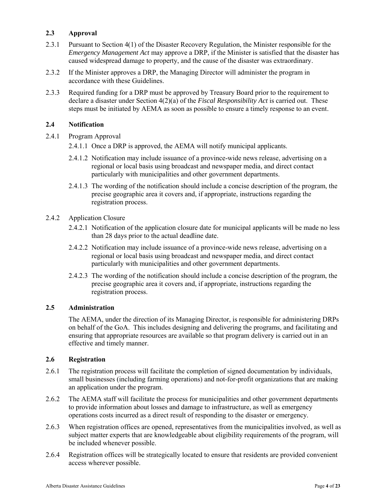#### **2.3 Approval**

- 2.3.1 Pursuant to Section 4(1) of the Disaster Recovery Regulation, the Minister responsible for the *Emergency Management Act* may approve a DRP, if the Minister is satisfied that the disaster has caused widespread damage to property, and the cause of the disaster was extraordinary.
- 2.3.2 If the Minister approves a DRP, the Managing Director will administer the program in accordance with these Guidelines.
- 2.3.3 Required funding for a DRP must be approved by Treasury Board prior to the requirement to declare a disaster under Section 4(2)(a) of the *Fiscal Responsibility Act* is carried out. These steps must be initiated by AEMA as soon as possible to ensure a timely response to an event.

#### **2.4 Notification**

- 2.4.1 Program Approval
	- 2.4.1.1 Once a DRP is approved, the AEMA will notify municipal applicants.
	- 2.4.1.2 Notification may include issuance of a province-wide news release, advertising on a regional or local basis using broadcast and newspaper media, and direct contact particularly with municipalities and other government departments.
	- 2.4.1.3 The wording of the notification should include a concise description of the program, the precise geographic area it covers and, if appropriate, instructions regarding the registration process.
- 2.4.2 Application Closure
	- 2.4.2.1 Notification of the application closure date for municipal applicants will be made no less than 28 days prior to the actual deadline date.
	- 2.4.2.2 Notification may include issuance of a province-wide news release, advertising on a regional or local basis using broadcast and newspaper media, and direct contact particularly with municipalities and other government departments.
	- 2.4.2.3 The wording of the notification should include a concise description of the program, the precise geographic area it covers and, if appropriate, instructions regarding the registration process.

#### **2.5 Administration**

The AEMA, under the direction of its Managing Director, is responsible for administering DRPs on behalf of the GoA. This includes designing and delivering the programs, and facilitating and ensuring that appropriate resources are available so that program delivery is carried out in an effective and timely manner.

#### **2.6 Registration**

- 2.6.1 The registration process will facilitate the completion of signed documentation by individuals, small businesses (including farming operations) and not-for-profit organizations that are making an application under the program.
- 2.6.2 The AEMA staff will facilitate the process for municipalities and other government departments to provide information about losses and damage to infrastructure, as well as emergency operations costs incurred as a direct result of responding to the disaster or emergency.
- 2.6.3 When registration offices are opened, representatives from the municipalities involved, as well as subject matter experts that are knowledgeable about eligibility requirements of the program, will be included whenever possible.
- 2.6.4 Registration offices will be strategically located to ensure that residents are provided convenient access wherever possible.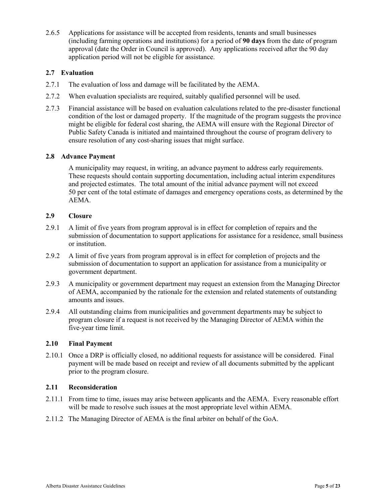2.6.5 Applications for assistance will be accepted from residents, tenants and small businesses (including farming operations and institutions) for a period of **90 days** from the date of program approval (date the Order in Council is approved). Any applications received after the 90 day application period will not be eligible for assistance.

#### **2.7 Evaluation**

- 2.7.1 The evaluation of loss and damage will be facilitated by the AEMA.
- 2.7.2 When evaluation specialists are required, suitably qualified personnel will be used.
- 2.7.3 Financial assistance will be based on evaluation calculations related to the pre-disaster functional condition of the lost or damaged property. If the magnitude of the program suggests the province might be eligible for federal cost sharing, the AEMA will ensure with the Regional Director of Public Safety Canada is initiated and maintained throughout the course of program delivery to ensure resolution of any cost-sharing issues that might surface.

#### **2.8 Advance Payment**

A municipality may request, in writing, an advance payment to address early requirements. These requests should contain supporting documentation, including actual interim expenditures and projected estimates. The total amount of the initial advance payment will not exceed 50 per cent of the total estimate of damages and emergency operations costs, as determined by the AEMA.

#### **2.9 Closure**

- 2.9.1 A limit of five years from program approval is in effect for completion of repairs and the submission of documentation to support applications for assistance for a residence, small business or institution.
- 2.9.2 A limit of five years from program approval is in effect for completion of projects and the submission of documentation to support an application for assistance from a municipality or government department.
- 2.9.3 A municipality or government department may request an extension from the Managing Director of AEMA, accompanied by the rationale for the extension and related statements of outstanding amounts and issues.
- 2.9.4 All outstanding claims from municipalities and government departments may be subject to program closure if a request is not received by the Managing Director of AEMA within the five-year time limit.

#### **2.10 Final Payment**

2.10.1 Once a DRP is officially closed, no additional requests for assistance will be considered. Final payment will be made based on receipt and review of all documents submitted by the applicant prior to the program closure.

#### **2.11 Reconsideration**

- 2.11.1 From time to time, issues may arise between applicants and the AEMA. Every reasonable effort will be made to resolve such issues at the most appropriate level within AEMA.
- 2.11.2 The Managing Director of AEMA is the final arbiter on behalf of the GoA.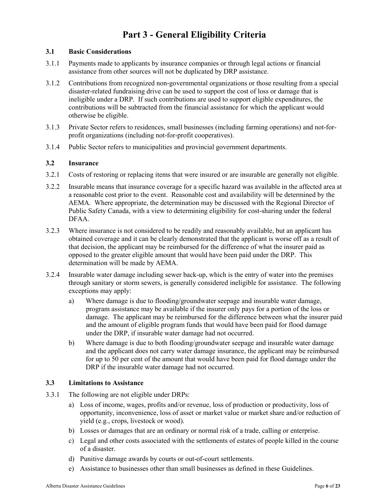# **Part 3 - General Eligibility Criteria**

#### **3.1 Basic Considerations**

- 3.1.1 Payments made to applicants by insurance companies or through legal actions or financial assistance from other sources will not be duplicated by DRP assistance.
- 3.1.2 Contributions from recognized non-governmental organizations or those resulting from a special disaster-related fundraising drive can be used to support the cost of loss or damage that is ineligible under a DRP. If such contributions are used to support eligible expenditures, the contributions will be subtracted from the financial assistance for which the applicant would otherwise be eligible.
- 3.1.3 Private Sector refers to residences, small businesses (including farming operations) and not-forprofit organizations (including not-for-profit cooperatives).
- 3.1.4 Public Sector refers to municipalities and provincial government departments.

#### **3.2 Insurance**

- 3.2.1 Costs of restoring or replacing items that were insured or are insurable are generally not eligible.
- 3.2.2 Insurable means that insurance coverage for a specific hazard was available in the affected area at a reasonable cost prior to the event. Reasonable cost and availability will be determined by the AEMA. Where appropriate, the determination may be discussed with the Regional Director of Public Safety Canada, with a view to determining eligibility for cost-sharing under the federal DFAA.
- 3.2.3 Where insurance is not considered to be readily and reasonably available, but an applicant has obtained coverage and it can be clearly demonstrated that the applicant is worse off as a result of that decision, the applicant may be reimbursed for the difference of what the insurer paid as opposed to the greater eligible amount that would have been paid under the DRP. This determination will be made by AEMA.
- 3.2.4 Insurable water damage including sewer back-up, which is the entry of water into the premises through sanitary or storm sewers, is generally considered ineligible for assistance. The following exceptions may apply:
	- a) Where damage is due to flooding/groundwater seepage and insurable water damage, program assistance may be available if the insurer only pays for a portion of the loss or damage. The applicant may be reimbursed for the difference between what the insurer paid and the amount of eligible program funds that would have been paid for flood damage under the DRP, if insurable water damage had not occurred.
	- b) Where damage is due to both flooding/groundwater seepage and insurable water damage and the applicant does not carry water damage insurance, the applicant may be reimbursed for up to 50 per cent of the amount that would have been paid for flood damage under the DRP if the insurable water damage had not occurred.

#### **3.3 Limitations to Assistance**

- 3.3.1 The following are not eligible under DRPs:
	- a) Loss of income, wages, profits and/or revenue, loss of production or productivity, loss of opportunity, inconvenience, loss of asset or market value or market share and/or reduction of yield (e.g., crops, livestock or wood).
	- b) Losses or damages that are an ordinary or normal risk of a trade, calling or enterprise.
	- c) Legal and other costs associated with the settlements of estates of people killed in the course of a disaster.
	- d) Punitive damage awards by courts or out-of-court settlements.
	- e) Assistance to businesses other than small businesses as defined in these Guidelines.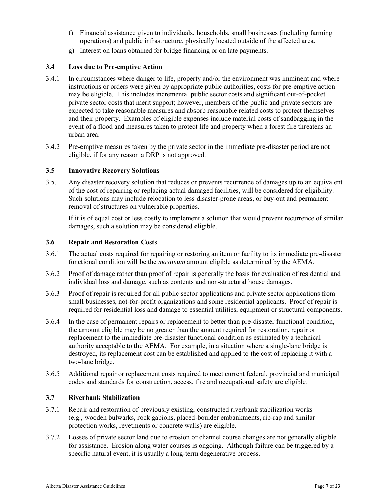- f) Financial assistance given to individuals, households, small businesses (including farming operations) and public infrastructure, physically located outside of the affected area.
- g) Interest on loans obtained for bridge financing or on late payments.

#### **3.4 Loss due to Pre-emptive Action**

- 3.4.1 In circumstances where danger to life, property and/or the environment was imminent and where instructions or orders were given by appropriate public authorities, costs for pre-emptive action may be eligible. This includes incremental public sector costs and significant out-of-pocket private sector costs that merit support; however, members of the public and private sectors are expected to take reasonable measures and absorb reasonable related costs to protect themselves and their property. Examples of eligible expenses include material costs of sandbagging in the event of a flood and measures taken to protect life and property when a forest fire threatens an urban area.
- 3.4.2 Pre-emptive measures taken by the private sector in the immediate pre-disaster period are not eligible, if for any reason a DRP is not approved.

#### **3.5 Innovative Recovery Solutions**

3.5.1 Any disaster recovery solution that reduces or prevents recurrence of damages up to an equivalent of the cost of repairing or replacing actual damaged facilities, will be considered for eligibility. Such solutions may include relocation to less disaster-prone areas, or buy-out and permanent removal of structures on vulnerable properties.

If it is of equal cost or less costly to implement a solution that would prevent recurrence of similar damages, such a solution may be considered eligible.

#### **3.6 Repair and Restoration Costs**

- 3.6.1 The actual costs required for repairing or restoring an item or facility to its immediate pre-disaster functional condition will be the *maximum* amount eligible as determined by the AEMA.
- 3.6.2 Proof of damage rather than proof of repair is generally the basis for evaluation of residential and individual loss and damage, such as contents and non-structural house damages.
- 3.6.3 Proof of repair is required for all public sector applications and private sector applications from small businesses, not-for-profit organizations and some residential applicants. Proof of repair is required for residential loss and damage to essential utilities, equipment or structural components.
- 3.6.4 In the case of permanent repairs or replacement to better than pre-disaster functional condition, the amount eligible may be no greater than the amount required for restoration, repair or replacement to the immediate pre-disaster functional condition as estimated by a technical authority acceptable to the AEMA. For example, in a situation where a single-lane bridge is destroyed, its replacement cost can be established and applied to the cost of replacing it with a two-lane bridge.
- 3.6.5 Additional repair or replacement costs required to meet current federal, provincial and municipal codes and standards for construction, access, fire and occupational safety are eligible.

#### **3.7 Riverbank Stabilization**

- 3.7.1 Repair and restoration of previously existing, constructed riverbank stabilization works (e.g., wooden bulwarks, rock gabions, placed-boulder embankments, rip-rap and similar protection works, revetments or concrete walls) are eligible.
- 3.7.2 Losses of private sector land due to erosion or channel course changes are not generally eligible for assistance. Erosion along water courses is ongoing. Although failure can be triggered by a specific natural event, it is usually a long-term degenerative process.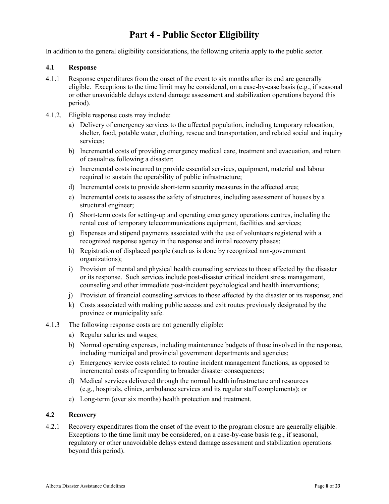# **Part 4 - Public Sector Eligibility**

In addition to the general eligibility considerations, the following criteria apply to the public sector.

#### **4.1 Response**

- 4.1.1 Response expenditures from the onset of the event to six months after its end are generally eligible. Exceptions to the time limit may be considered, on a case-by-case basis (e.g., if seasonal or other unavoidable delays extend damage assessment and stabilization operations beyond this period).
- 4.1.2. Eligible response costs may include:
	- a) Delivery of emergency services to the affected population, including temporary relocation, shelter, food, potable water, clothing, rescue and transportation, and related social and inquiry services:
	- b) Incremental costs of providing emergency medical care, treatment and evacuation, and return of casualties following a disaster;
	- c) Incremental costs incurred to provide essential services, equipment, material and labour required to sustain the operability of public infrastructure;
	- d) Incremental costs to provide short-term security measures in the affected area;
	- e) Incremental costs to assess the safety of structures, including assessment of houses by a structural engineer;
	- f) Short-term costs for setting-up and operating emergency operations centres, including the rental cost of temporary telecommunications equipment, facilities and services;
	- g) Expenses and stipend payments associated with the use of volunteers registered with a recognized response agency in the response and initial recovery phases;
	- h) Registration of displaced people (such as is done by recognized non-government organizations);
	- i) Provision of mental and physical health counseling services to those affected by the disaster or its response. Such services include post-disaster critical incident stress management, counseling and other immediate post-incident psychological and health interventions;
	- j) Provision of financial counseling services to those affected by the disaster or its response; and
	- k) Costs associated with making public access and exit routes previously designated by the province or municipality safe.
- 4.1.3 The following response costs are not generally eligible:
	- a) Regular salaries and wages;
	- b) Normal operating expenses, including maintenance budgets of those involved in the response, including municipal and provincial government departments and agencies;
	- c) Emergency service costs related to routine incident management functions, as opposed to incremental costs of responding to broader disaster consequences;
	- d) Medical services delivered through the normal health infrastructure and resources (e.g., hospitals, clinics, ambulance services and its regular staff complements); or
	- e) Long-term (over six months) health protection and treatment.

#### **4.2 Recovery**

4.2.1 Recovery expenditures from the onset of the event to the program closure are generally eligible. Exceptions to the time limit may be considered, on a case-by-case basis (e.g., if seasonal, regulatory or other unavoidable delays extend damage assessment and stabilization operations beyond this period).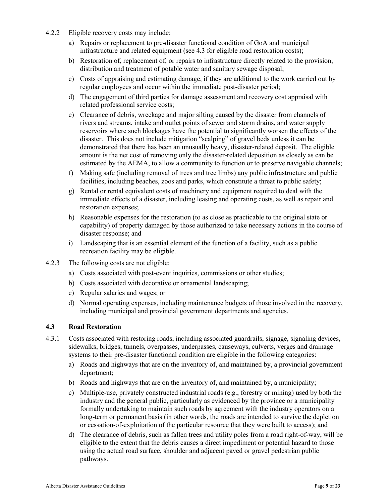- 4.2.2 Eligible recovery costs may include:
	- a) Repairs or replacement to pre-disaster functional condition of GoA and municipal infrastructure and related equipment (see 4.3 for eligible road restoration costs);
	- b) Restoration of, replacement of, or repairs to infrastructure directly related to the provision, distribution and treatment of potable water and sanitary sewage disposal;
	- c) Costs of appraising and estimating damage, if they are additional to the work carried out by regular employees and occur within the immediate post-disaster period;
	- d) The engagement of third parties for damage assessment and recovery cost appraisal with related professional service costs;
	- e) Clearance of debris, wreckage and major silting caused by the disaster from channels of rivers and streams, intake and outlet points of sewer and storm drains, and water supply reservoirs where such blockages have the potential to significantly worsen the effects of the disaster. This does not include mitigation "scalping" of gravel beds unless it can be demonstrated that there has been an unusually heavy, disaster-related deposit. The eligible amount is the net cost of removing only the disaster-related deposition as closely as can be estimated by the AEMA, to allow a community to function or to preserve navigable channels;
	- f) Making safe (including removal of trees and tree limbs) any public infrastructure and public facilities, including beaches, zoos and parks, which constitute a threat to public safety;
	- g) Rental or rental equivalent costs of machinery and equipment required to deal with the immediate effects of a disaster, including leasing and operating costs, as well as repair and restoration expenses;
	- h) Reasonable expenses for the restoration (to as close as practicable to the original state or capability) of property damaged by those authorized to take necessary actions in the course of disaster response; and
	- i) Landscaping that is an essential element of the function of a facility, such as a public recreation facility may be eligible.
- 4.2.3 The following costs are not eligible:
	- a) Costs associated with post-event inquiries, commissions or other studies;
	- b) Costs associated with decorative or ornamental landscaping;
	- c) Regular salaries and wages; or
	- d) Normal operating expenses, including maintenance budgets of those involved in the recovery, including municipal and provincial government departments and agencies.

#### **4.3 Road Restoration**

- 4.3.1 Costs associated with restoring roads, including associated guardrails, signage, signaling devices, sidewalks, bridges, tunnels, overpasses, underpasses, causeways, culverts, verges and drainage systems to their pre-disaster functional condition are eligible in the following categories:
	- a) Roads and highways that are on the inventory of, and maintained by, a provincial government department;
	- b) Roads and highways that are on the inventory of, and maintained by, a municipality;
	- c) Multiple-use, privately constructed industrial roads (e.g., forestry or mining) used by both the industry and the general public, particularly as evidenced by the province or a municipality formally undertaking to maintain such roads by agreement with the industry operators on a long-term or permanent basis (in other words, the roads are intended to survive the depletion or cessation-of-exploitation of the particular resource that they were built to access); and
	- d) The clearance of debris, such as fallen trees and utility poles from a road right-of-way, will be eligible to the extent that the debris causes a direct impediment or potential hazard to those using the actual road surface, shoulder and adjacent paved or gravel pedestrian public pathways.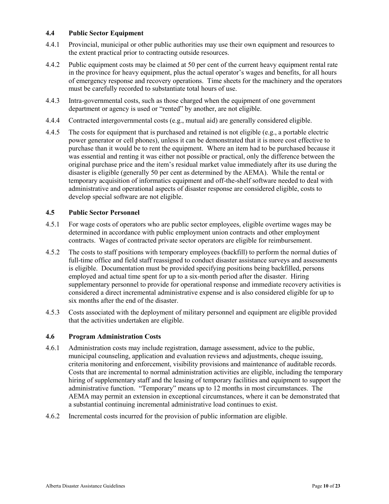#### **4.4 Public Sector Equipment**

- 4.4.1 Provincial, municipal or other public authorities may use their own equipment and resources to the extent practical prior to contracting outside resources.
- 4.4.2 Public equipment costs may be claimed at 50 per cent of the current heavy equipment rental rate in the province for heavy equipment, plus the actual operator's wages and benefits, for all hours of emergency response and recovery operations. Time sheets for the machinery and the operators must be carefully recorded to substantiate total hours of use.
- 4.4.3 Intra-governmental costs, such as those charged when the equipment of one government department or agency is used or "rented" by another, are not eligible.
- 4.4.4 Contracted intergovernmental costs (e.g., mutual aid) are generally considered eligible.
- 4.4.5 The costs for equipment that is purchased and retained is not eligible (e.g., a portable electric power generator or cell phones), unless it can be demonstrated that it is more cost effective to purchase than it would be to rent the equipment. Where an item had to be purchased because it was essential and renting it was either not possible or practical, only the difference between the original purchase price and the item's residual market value immediately after its use during the disaster is eligible (generally 50 per cent as determined by the AEMA). While the rental or temporary acquisition of informatics equipment and off-the-shelf software needed to deal with administrative and operational aspects of disaster response are considered eligible, costs to develop special software are not eligible.

#### **4.5 Public Sector Personnel**

- 4.5.1 For wage costs of operators who are public sector employees, eligible overtime wages may be determined in accordance with public employment union contracts and other employment contracts. Wages of contracted private sector operators are eligible for reimbursement.
- 4.5.2 The costs to staff positions with temporary employees (backfill) to perform the normal duties of full-time office and field staff reassigned to conduct disaster assistance surveys and assessments is eligible. Documentation must be provided specifying positions being backfilled, persons employed and actual time spent for up to a six-month period after the disaster. Hiring supplementary personnel to provide for operational response and immediate recovery activities is considered a direct incremental administrative expense and is also considered eligible for up to six months after the end of the disaster.
- 4.5.3 Costs associated with the deployment of military personnel and equipment are eligible provided that the activities undertaken are eligible.

#### **4.6 Program Administration Costs**

- 4.6.1 Administration costs may include registration, damage assessment, advice to the public, municipal counseling, application and evaluation reviews and adjustments, cheque issuing, criteria monitoring and enforcement, visibility provisions and maintenance of auditable records. Costs that are incremental to normal administration activities are eligible, including the temporary hiring of supplementary staff and the leasing of temporary facilities and equipment to support the administrative function. "Temporary" means up to 12 months in most circumstances. The AEMA may permit an extension in exceptional circumstances, where it can be demonstrated that a substantial continuing incremental administrative load continues to exist.
- 4.6.2 Incremental costs incurred for the provision of public information are eligible.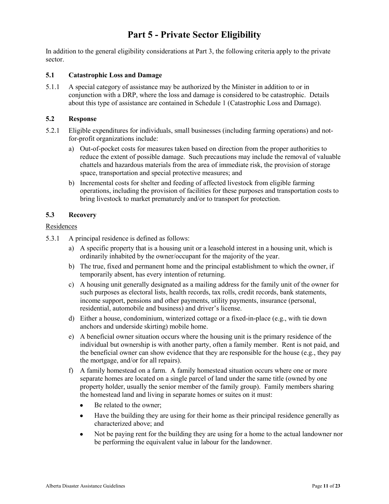# **Part 5 - Private Sector Eligibility**

In addition to the general eligibility considerations at Part 3, the following criteria apply to the private sector.

#### **5.1 Catastrophic Loss and Damage**

5.1.1 A special category of assistance may be authorized by the Minister in addition to or in conjunction with a DRP, where the loss and damage is considered to be catastrophic. Details about this type of assistance are contained in Schedule 1 (Catastrophic Loss and Damage).

#### **5.2 Response**

- 5.2.1 Eligible expenditures for individuals, small businesses (including farming operations) and notfor-profit organizations include:
	- a) Out-of-pocket costs for measures taken based on direction from the proper authorities to reduce the extent of possible damage. Such precautions may include the removal of valuable chattels and hazardous materials from the area of immediate risk, the provision of storage space, transportation and special protective measures; and
	- b) Incremental costs for shelter and feeding of affected livestock from eligible farming operations, including the provision of facilities for these purposes and transportation costs to bring livestock to market prematurely and/or to transport for protection.

#### **5.3 Recovery**

#### Residences

- 5.3.1 A principal residence is defined as follows:
	- a) A specific property that is a housing unit or a leasehold interest in a housing unit, which is ordinarily inhabited by the owner/occupant for the majority of the year.
	- b) The true, fixed and permanent home and the principal establishment to which the owner, if temporarily absent, has every intention of returning.
	- c) A housing unit generally designated as a mailing address for the family unit of the owner for such purposes as electoral lists, health records, tax rolls, credit records, bank statements, income support, pensions and other payments, utility payments, insurance (personal, residential, automobile and business) and driver's license.
	- d) Either a house, condominium, winterized cottage or a fixed-in-place (e.g., with tie down anchors and underside skirting) mobile home.
	- e) A beneficial owner situation occurs where the housing unit is the primary residence of the individual but ownership is with another party, often a family member. Rent is not paid, and the beneficial owner can show evidence that they are responsible for the house (e.g., they pay the mortgage, and/or for all repairs).
	- f) A family homestead on a farm. A family homestead situation occurs where one or more separate homes are located on a single parcel of land under the same title (owned by one property holder, usually the senior member of the family group). Family members sharing the homestead land and living in separate homes or suites on it must:
		- $\bullet$ Be related to the owner;
		- $\bullet$ Have the building they are using for their home as their principal residence generally as characterized above; and
		- Not be paying rent for the building they are using for a home to the actual landowner nor  $\bullet$ be performing the equivalent value in labour for the landowner.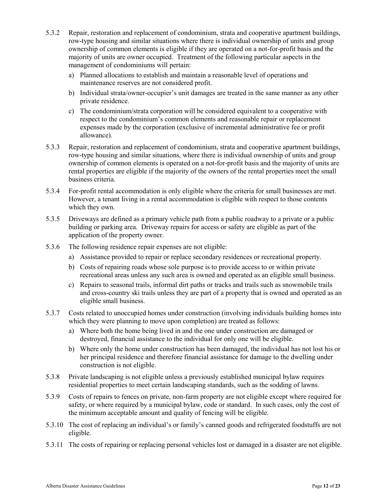- 5.3.2 Repair, restoration and replacement of condominium, strata and cooperative apartment buildings, row-type housing and similar situations where there is individual ownership of units and group ownership of common elements is eligible if they are operated on a not-for-profit basis and the majority of units are owner occupied. Treatment of the following particular aspects in the management of condominiums will pertain:
	- a) Planned allocations to establish and maintain a reasonable level of operations and maintenance reserves are not considered profit.
	- b) Individual strata/owner-occupier's unit damages are treated in the same manner as any other private residence.
	- c) The condominium/strata corporation will be considered equivalent to a cooperative with respect to the condominium's common elements and reasonable repair or replacement expenses made by the corporation (exclusive of incremental administrative fee or profit allowance).
- 5.3.3 Repair, restoration and replacement of condominium, strata and cooperative apartment buildings, row-type housing and similar situations, where there is individual ownership of units and group ownership of common elements is operated on a not-for-profit basis and the majority of units are rental properties are eligible if the majority of the owners of the rental properties meet the small business criteria.
- 5.3.4 For-profit rental accommodation is only eligible where the criteria for small businesses are met. However, a tenant living in a rental accommodation is eligible with respect to those contents which they own.
- 5.3.5 Driveways are defined as a primary vehicle path from a public roadway to a private or a public building or parking area. Driveway repairs for access or safety are eligible as part of the application of the property owner.
- 5.3.6 The following residence repair expenses are not eligible:
	- a) Assistance provided to repair or replace secondary residences or recreational property.
	- b) Costs of repairing roads whose sole purpose is to provide access to or within private recreational areas unless any such area is owned and operated as an eligible small business.
	- c) Repairs to seasonal trails, informal dirt paths or tracks and trails such as snowmobile trails and cross-country ski trails unless they are part of a property that is owned and operated as an eligible small business.
- 5.3.7 Costs related to unoccupied homes under construction (involving individuals building homes into which they were planning to move upon completion) are treated as follows:
	- a) Where both the home being lived in and the one under construction are damaged or destroyed, financial assistance to the individual for only one will be eligible.
	- b) Where only the home under construction has been damaged, the individual has not lost his or her principal residence and therefore financial assistance for damage to the dwelling under construction is not eligible.
- 5.3.8 Private landscaping is not eligible unless a previously established municipal bylaw requires residential properties to meet certain landscaping standards, such as the sodding of lawns.
- 5.3.9 Costs of repairs to fences on private, non-farm property are not eligible except where required for safety, or where required by a municipal bylaw, code or standard. In such cases, only the cost of the minimum acceptable amount and quality of fencing will be eligible.
- 5.3.10 The cost of replacing an individual's or family's canned goods and refrigerated foodstuffs are not eligible.
- 5.3.11 The costs of repairing or replacing personal vehicles lost or damaged in a disaster are not eligible.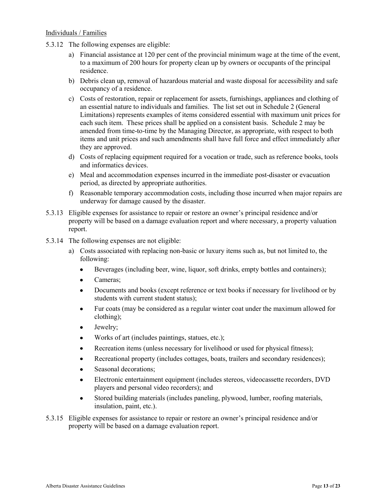#### Individuals / Families

- 5.3.12 The following expenses are eligible:
	- a) Financial assistance at 120 per cent of the provincial minimum wage at the time of the event, to a maximum of 200 hours for property clean up by owners or occupants of the principal residence.
	- b) Debris clean up, removal of hazardous material and waste disposal for accessibility and safe occupancy of a residence.
	- c) Costs of restoration, repair or replacement for assets, furnishings, appliances and clothing of an essential nature to individuals and families. The list set out in Schedule 2 (General Limitations) represents examples of items considered essential with maximum unit prices for each such item. These prices shall be applied on a consistent basis. Schedule 2 may be amended from time-to-time by the Managing Director, as appropriate, with respect to both items and unit prices and such amendments shall have full force and effect immediately after they are approved.
	- d) Costs of replacing equipment required for a vocation or trade, such as reference books, tools and informatics devices.
	- e) Meal and accommodation expenses incurred in the immediate post-disaster or evacuation period, as directed by appropriate authorities.
	- f) Reasonable temporary accommodation costs, including those incurred when major repairs are underway for damage caused by the disaster.
- 5.3.13 Eligible expenses for assistance to repair or restore an owner's principal residence and/or property will be based on a damage evaluation report and where necessary, a property valuation report.
- 5.3.14 The following expenses are not eligible:
	- a) Costs associated with replacing non-basic or luxury items such as, but not limited to, the following:
		- $\bullet$ Beverages (including beer, wine, liquor, soft drinks, empty bottles and containers);
		- Cameras;  $\bullet$
		- Documents and books (except reference or text books if necessary for livelihood or by  $\bullet$ students with current student status);
		- Fur coats (may be considered as a regular winter coat under the maximum allowed for  $\bullet$ clothing);
		- Jewelry;  $\bullet$
		- Works of art (includes paintings, statues, etc.);
		- Recreation items (unless necessary for livelihood or used for physical fitness);  $\bullet$
		- Recreational property (includes cottages, boats, trailers and secondary residences);  $\bullet$
		- Seasonal decorations;  $\bullet$
		- Electronic entertainment equipment (includes stereos, videocassette recorders, DVD  $\bullet$ players and personal video recorders); and
		- Stored building materials (includes paneling, plywood, lumber, roofing materials,  $\bullet$ insulation, paint, etc.).
- 5.3.15 Eligible expenses for assistance to repair or restore an owner's principal residence and/or property will be based on a damage evaluation report.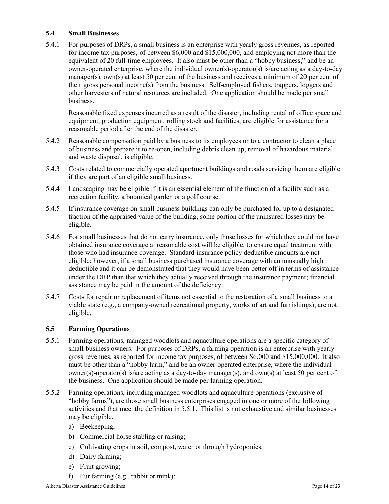#### **5.4 Small Businesses**

5.4.1 For purposes of DRPs, a small business is an enterprise with yearly gross revenues, as reported for income tax purposes, of between \$6,000 and \$15,000,000, and employing not more than the equivalent of 20 full-time employees. It also must be other than a "hobby business," and be an owner-operated enterprise, where the individual owner(s)-operator(s) is/are acting as a day-to-day manager(s),  $own(s)$  at least 50 per cent of the business and receives a minimum of 20 per cent of their gross personal income(s) from the business. Self-employed fishers, trappers, loggers and other harvesters of natural resources are included. One application should be made per small business.

Reasonable fixed expenses incurred as a result of the disaster, including rental of office space and equipment, production equipment, rolling stock and facilities, are eligible for assistance for a reasonable period after the end of the disaster.

- 5.4.2 Reasonable compensation paid by a business to its employees or to a contractor to clean a place of business and prepare it to re-open, including debris clean up, removal of hazardous material and waste disposal, is eligible.
- 5.4.3 Costs related to commercially operated apartment buildings and roads servicing them are eligible if they are part of an eligible small business.
- 5.4.4 Landscaping may be eligible if it is an essential element of the function of a facility such as a recreation facility, a botanical garden or a golf course.
- 5.4.5 If insurance coverage on small business buildings can only be purchased for up to a designated fraction of the appraised value of the building, some portion of the uninsured losses may be eligible.
- 5.4.6 For small businesses that do not carry insurance, only those losses for which they could not have obtained insurance coverage at reasonable cost will be eligible, to ensure equal treatment with those who had insurance coverage. Standard insurance policy deductible amounts are not eligible; however, if a small business purchased insurance coverage with an unusually high deductible and it can be demonstrated that they would have been better off in terms of assistance under the DRP than that which they actually received through the insurance payment; financial assistance may be paid in the amount of the deficiency.
- 5.4.7 Costs for repair or replacement of items not essential to the restoration of a small business to a viable state (e.g., a company-owned recreational property, works of art and furnishings), are not eligible.

#### **5.5 Farming Operations**

- 5.5.1 Farming operations, managed woodlots and aquaculture operations are a specific category of small business owners. For purposes of DRPs, a farming operation is an enterprise with yearly gross revenues, as reported for income tax purposes, of between \$6,000 and \$15,000,000. It also must be other than a "hobby farm," and be an owner-operated enterprise, where the individual owner(s)-operator(s) is/are acting as a day-to-day manager(s), and own(s) at least 50 per cent of the business. One application should be made per farming operation.
- 5.5.2 Farming operations, including managed woodlots and aquaculture operations (exclusive of "hobby farms"), are those small business enterprises engaged in one or more of the following activities and that meet the definition in 5.5.1. This list is not exhaustive and similar businesses may be eligible.
	- a) Beekeeping;
	- b) Commercial horse stabling or raising;
	- c) Cultivating crops in soil, compost, water or through hydroponics;
	- d) Dairy farming;
	- e) Fruit growing;
	- f) Fur farming (e.g., rabbit or mink);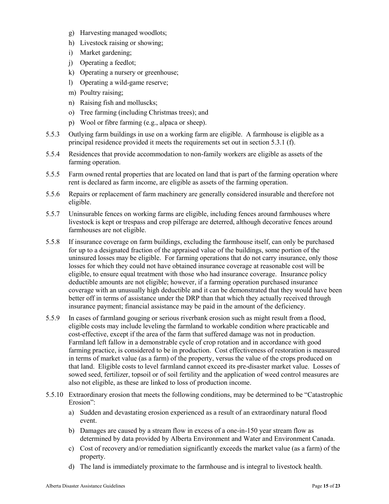- g) Harvesting managed woodlots;
- h) Livestock raising or showing;
- i) Market gardening;
- j) Operating a feedlot;
- k) Operating a nursery or greenhouse;
- l) Operating a wild-game reserve;
- m) Poultry raising;
- n) Raising fish and molluscks;
- o) Tree farming (including Christmas trees); and
- p) Wool or fibre farming (e.g., alpaca or sheep).
- 5.5.3 Outlying farm buildings in use on a working farm are eligible. A farmhouse is eligible as a principal residence provided it meets the requirements set out in section 5.3.1 (f).
- 5.5.4 Residences that provide accommodation to non-family workers are eligible as assets of the farming operation.
- 5.5.5 Farm owned rental properties that are located on land that is part of the farming operation where rent is declared as farm income, are eligible as assets of the farming operation.
- 5.5.6 Repairs or replacement of farm machinery are generally considered insurable and therefore not eligible.
- 5.5.7 Uninsurable fences on working farms are eligible, including fences around farmhouses where livestock is kept or trespass and crop pilferage are deterred, although decorative fences around farmhouses are not eligible.
- 5.5.8 If insurance coverage on farm buildings, excluding the farmhouse itself, can only be purchased for up to a designated fraction of the appraised value of the buildings, some portion of the uninsured losses may be eligible. For farming operations that do not carry insurance, only those losses for which they could not have obtained insurance coverage at reasonable cost will be eligible, to ensure equal treatment with those who had insurance coverage. Insurance policy deductible amounts are not eligible; however, if a farming operation purchased insurance coverage with an unusually high deductible and it can be demonstrated that they would have been better off in terms of assistance under the DRP than that which they actually received through insurance payment; financial assistance may be paid in the amount of the deficiency.
- 5.5.9 In cases of farmland gouging or serious riverbank erosion such as might result from a flood, eligible costs may include leveling the farmland to workable condition where practicable and cost-effective, except if the area of the farm that suffered damage was not in production. Farmland left fallow in a demonstrable cycle of crop rotation and in accordance with good farming practice, is considered to be in production. Cost effectiveness of restoration is measured in terms of market value (as a farm) of the property, versus the value of the crops produced on that land. Eligible costs to level farmland cannot exceed its pre-disaster market value. Losses of sowed seed, fertilizer, topsoil or of soil fertility and the application of weed control measures are also not eligible, as these are linked to loss of production income.
- 5.5.10 Extraordinary erosion that meets the following conditions, may be determined to be "Catastrophic Erosion":
	- a) Sudden and devastating erosion experienced as a result of an extraordinary natural flood event.
	- b) Damages are caused by a stream flow in excess of a one-in-150 year stream flow as determined by data provided by Alberta Environment and Water and Environment Canada.
	- c) Cost of recovery and/or remediation significantly exceeds the market value (as a farm) of the property.
	- d) The land is immediately proximate to the farmhouse and is integral to livestock health.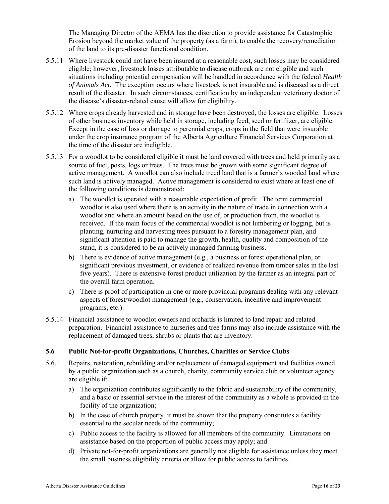The Managing Director of the AEMA has the discretion to provide assistance for Catastrophic Erosion beyond the market value of the property (as a farm), to enable the recovery/remediation of the land to its pre-disaster functional condition.

- 5.5.11 Where livestock could not have been insured at a reasonable cost, such losses may be considered eligible; however, livestock losses attributable to disease outbreak are not eligible and such situations including potential compensation will be handled in accordance with the federal *Health of Animals Act.* The exception occurs where livestock is not insurable and is diseased as a direct result of the disaster. In such circumstances, certification by an independent veterinary doctor of the disease's disaster-related cause will allow for eligibility.
- 5.5.12 Where crops already harvested and in storage have been destroyed, the losses are eligible. Losses of other business inventory while held in storage, including feed, seed or fertilizer, are eligible. Except in the case of loss or damage to perennial crops, crops in the field that were insurable under the crop insurance program of the Alberta Agriculture Financial Services Corporation at the time of the disaster are ineligible.
- 5.5.13 For a woodlot to be considered eligible it must be land covered with trees and held primarily as a source of fuel, posts, logs or trees. The trees must be grown with some significant degree of active management. A woodlot can also include treed land that is a farmer's wooded land where such land is actively managed. Active management is considered to exist where at least one of the following conditions is demonstrated:
	- a) The woodlot is operated with a reasonable expectation of profit. The term commercial woodlot is also used where there is an activity in the nature of trade in connection with a woodlot and where an amount based on the use of, or production from, the woodlot is received. If the main focus of the commercial woodlot is not lumbering or logging, but is planting, nurturing and harvesting trees pursuant to a forestry management plan, and significant attention is paid to manage the growth, health, quality and composition of the stand, it is considered to be an actively managed farming business.
	- b) There is evidence of active management (e.g., a business or forest operational plan, or significant previous investment, or evidence of realized revenue from timber sales in the last five years). There is extensive forest product utilization by the farmer as an integral part of the overall farm operation.
	- c) There is proof of participation in one or more provincial programs dealing with any relevant aspects of forest/woodlot management (e.g., conservation, incentive and improvement programs, etc.).
- 5.5.14 Financial assistance to woodlot owners and orchards is limited to land repair and related preparation. Financial assistance to nurseries and tree farms may also include assistance with the replacement of damaged trees, shrubs or plants that are inventory.

#### **5.6 Public Not-for-profit Organizations, Churches, Charities or Service Clubs**

- 5.6.1 Repairs, restoration, rebuilding and/or replacement of damaged equipment and facilities owned by a public organization such as a church, charity, community service club or volunteer agency are eligible if:
	- a) The organization contributes significantly to the fabric and sustainability of the community, and a basic or essential service in the interest of the community as a whole is provided in the facility of the organization;
	- b) In the case of church property, it must be shown that the property constitutes a facility essential to the secular needs of the community;
	- c) Public access to the facility is allowed for all members of the community. Limitations on assistance based on the proportion of public access may apply; and
	- d) Private not-for-profit organizations are generally not eligible for assistance unless they meet the small business eligibility criteria or allow for public access to facilities.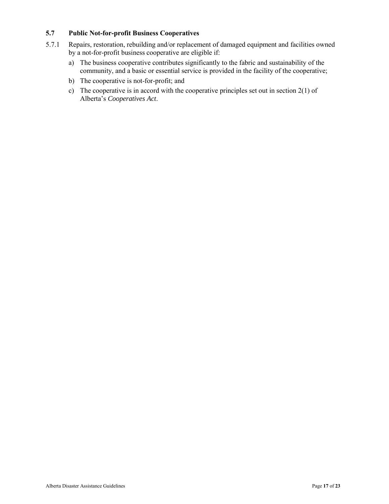#### **5.7 Public Not-for-profit Business Cooperatives**

- 5.7.1 Repairs, restoration, rebuilding and/or replacement of damaged equipment and facilities owned by a not-for-profit business cooperative are eligible if:
	- a) The business cooperative contributes significantly to the fabric and sustainability of the community, and a basic or essential service is provided in the facility of the cooperative;
	- b) The cooperative is not-for-profit; and
	- c) The cooperative is in accord with the cooperative principles set out in section 2(1) of Alberta's *Cooperatives Act*.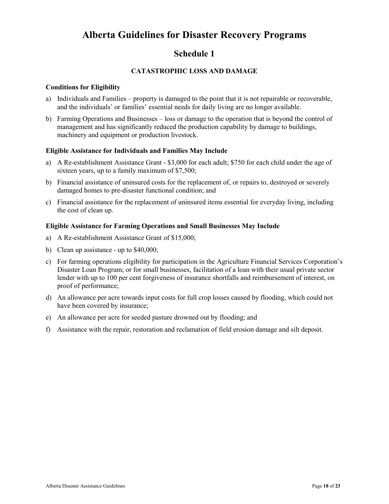### **Schedule 1**

#### **CATASTROPHIC LOSS AND DAMAGE**

#### **Conditions for Eligibility**

- a) Individuals and Families property is damaged to the point that it is not repairable or recoverable, and the individuals' or families' essential needs for daily living are no longer available.
- b) Farming Operations and Businesses loss or damage to the operation that is beyond the control of management and has significantly reduced the production capability by damage to buildings, machinery and equipment or production livestock.

#### **Eligible Assistance for Individuals and Families May Include**

- a) A Re-establishment Assistance Grant \$3,000 for each adult; \$750 for each child under the age of sixteen years, up to a family maximum of \$7,500;
- b) Financial assistance of uninsured costs for the replacement of, or repairs to, destroyed or severely damaged homes to pre-disaster functional condition; and
- c) Financial assistance for the replacement of uninsured items essential for everyday living, including the cost of clean up.

#### **Eligible Assistance for Farming Operations and Small Businesses May Include**

- a) A Re-establishment Assistance Grant of \$15,000;
- b) Clean up assistance up to \$40,000;
- c) For farming operations eligibility for participation in the Agriculture Financial Services Corporation's Disaster Loan Program; or for small businesses, facilitation of a loan with their usual private sector lender with up to 100 per cent forgiveness of insurance shortfalls and reimbursement of interest, on proof of performance;
- d) An allowance per acre towards input costs for full crop losses caused by flooding, which could not have been covered by insurance;
- e) An allowance per acre for seeded pasture drowned out by flooding; and
- f) Assistance with the repair, restoration and reclamation of field erosion damage and silt deposit.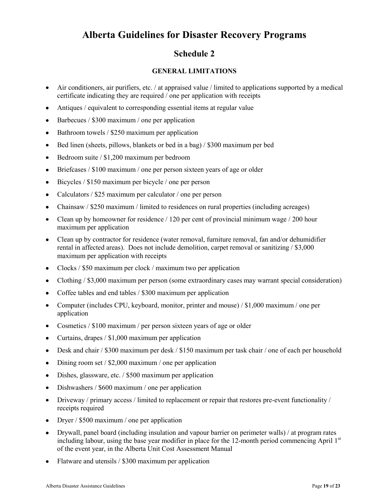## **Schedule 2**

#### **GENERAL LIMITATIONS**

- Air conditioners, air purifiers, etc. / at appraised value / limited to applications supported by a medical  $\bullet$ certificate indicating they are required / one per application with receipts
- Antiques / equivalent to corresponding essential items at regular value  $\bullet$
- Barbecues / \$300 maximum / one per application  $\bullet$
- $\bullet$ Bathroom towels / \$250 maximum per application
- Bed linen (sheets, pillows, blankets or bed in a bag) / \$300 maximum per bed  $\bullet$
- Bedroom suite / \$1,200 maximum per bedroom  $\bullet$
- Briefcases / \$100 maximum / one per person sixteen years of age or older
- Bicycles / \$150 maximum per bicycle / one per person  $\bullet$
- Calculators / \$25 maximum per calculator / one per person  $\bullet$
- Chainsaw / \$250 maximum / limited to residences on rural properties (including acreages)  $\bullet$
- Clean up by homeowner for residence / 120 per cent of provincial minimum wage / 200 hour  $\bullet$ maximum per application
- Clean up by contractor for residence (water removal, furniture removal, fan and/or dehumidifier  $\bullet$ rental in affected areas). Does not include demolition, carpet removal or sanitizing / \$3,000 maximum per application with receipts
- Clocks / \$50 maximum per clock / maximum two per application  $\bullet$
- Clothing / \$3,000 maximum per person (some extraordinary cases may warrant special consideration)
- $\bullet$ Coffee tables and end tables / \$300 maximum per application
- Computer (includes CPU, keyboard, monitor, printer and mouse) / \$1,000 maximum / one per  $\bullet$ application
- Cosmetics / \$100 maximum / per person sixteen years of age or older
- Curtains, drapes / \$1,000 maximum per application  $\bullet$
- Desk and chair / \$300 maximum per desk / \$150 maximum per task chair / one of each per household  $\bullet$
- $\bullet$ Dining room set / \$2,000 maximum / one per application
- Dishes, glassware, etc. / \$500 maximum per application  $\bullet$
- Dishwashers / \$600 maximum / one per application  $\bullet$
- Driveway / primary access / limited to replacement or repair that restores pre-event functionality /  $\bullet$ receipts required
- Dryer / \$500 maximum / one per application  $\bullet$
- Drywall, panel board (including insulation and vapour barrier on perimeter walls) / at program rates  $\bullet$ including labour, using the base year modifier in place for the 12-month period commencing April  $1<sup>st</sup>$ of the event year, in the Alberta Unit Cost Assessment Manual
- Flatware and utensils / \$300 maximum per application  $\bullet$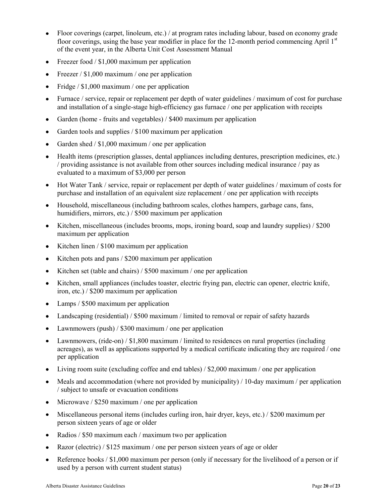- $\bullet$ Floor coverings (carpet, linoleum, etc.) / at program rates including labour, based on economy grade floor coverings, using the base year modifier in place for the 12-month period commencing April  $1<sup>st</sup>$ of the event year, in the Alberta Unit Cost Assessment Manual
- Freezer food / \$1,000 maximum per application  $\bullet$
- Freezer / \$1,000 maximum / one per application  $\bullet$
- Fridge / \$1,000 maximum / one per application  $\bullet$
- Furnace / service, repair or replacement per depth of water guidelines / maximum of cost for purchase and installation of a single-stage high-efficiency gas furnace / one per application with receipts
- Garden (home fruits and vegetables) / \$400 maximum per application  $\bullet$
- Garden tools and supplies / \$100 maximum per application  $\bullet$
- Garden shed / \$1,000 maximum / one per application  $\bullet$
- Health items (prescription glasses, dental appliances including dentures, prescription medicines, etc.) / providing assistance is not available from other sources including medical insurance / pay as evaluated to a maximum of \$3,000 per person
- Hot Water Tank / service, repair or replacement per depth of water guidelines / maximum of costs for  $\bullet$ purchase and installation of an equivalent size replacement / one per application with receipts
- $\bullet$ Household, miscellaneous (including bathroom scales, clothes hampers, garbage cans, fans, humidifiers, mirrors, etc.) / \$500 maximum per application
- Kitchen, miscellaneous (includes brooms, mops, ironing board, soap and laundry supplies) / \$200  $\bullet$ maximum per application
- Kitchen linen / \$100 maximum per application  $\bullet$
- Kitchen pots and pans / \$200 maximum per application
- Kitchen set (table and chairs) / \$500 maximum / one per application
- Kitchen, small appliances (includes toaster, electric frying pan, electric can opener, electric knife,  $\bullet$ iron, etc.) / \$200 maximum per application
- Lamps / \$500 maximum per application
- Landscaping (residential) / \$500 maximum / limited to removal or repair of safety hazards  $\bullet$
- Lawnmowers (push) / \$300 maximum / one per application  $\bullet$
- Lawnmowers, (ride-on) / \$1,800 maximum / limited to residences on rural properties (including acreages), as well as applications supported by a medical certificate indicating they are required / one per application
- Living room suite (excluding coffee and end tables) / \$2,000 maximum / one per application
- Meals and accommodation (where not provided by municipality) / 10-day maximum / per application  $\bullet$ / subject to unsafe or evacuation conditions
- Microwave / \$250 maximum / one per application
- Miscellaneous personal items (includes curling iron, hair dryer, keys, etc.) / \$200 maximum per  $\bullet$ person sixteen years of age or older
- Radios / \$50 maximum each / maximum two per application
- Razor (electric) / \$125 maximum / one per person sixteen years of age or older
- Reference books / \$1,000 maximum per person (only if necessary for the livelihood of a person or if  $\bullet$ used by a person with current student status)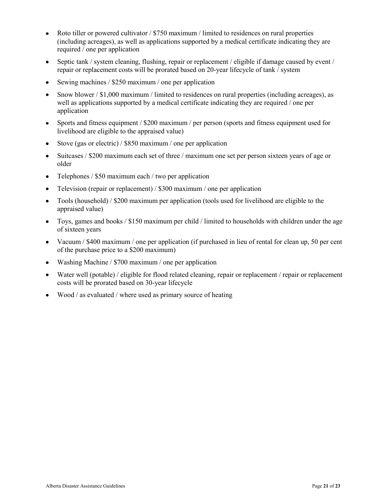- Roto tiller or powered cultivator / \$750 maximum / limited to residences on rural properties  $\bullet$ (including acreages), as well as applications supported by a medical certificate indicating they are required / one per application
- Septic tank / system cleaning, flushing, repair or replacement / eligible if damage caused by event / repair or replacement costs will be prorated based on 20-year lifecycle of tank / system
- Sewing machines / \$250 maximum / one per application
- Snow blower / \$1,000 maximum / limited to residences on rural properties (including acreages), as well as applications supported by a medical certificate indicating they are required / one per application
- Sports and fitness equipment / \$200 maximum / per person (sports and fitness equipment used for  $\bullet$ livelihood are eligible to the appraised value)
- Stove (gas or electric) / \$850 maximum / one per application
- Suitcases / \$200 maximum each set of three / maximum one set per person sixteen years of age or older
- Telephones / \$50 maximum each / two per application
- Television (repair or replacement) / \$300 maximum / one per application
- Tools (household) / \$200 maximum per application (tools used for livelihood are eligible to the  $\bullet$ appraised value)
- Toys, games and books / \$150 maximum per child / limited to households with children under the age of sixteen years
- Vacuum / \$400 maximum / one per application (if purchased in lieu of rental for clean up, 50 per cent of the purchase price to a \$200 maximum)
- Washing Machine / \$700 maximum / one per application  $\bullet$
- Water well (potable) / eligible for flood related cleaning, repair or replacement / repair or replacement  $\bullet$ costs will be prorated based on 30-year lifecycle
- Wood / as evaluated / where used as primary source of heating  $\bullet$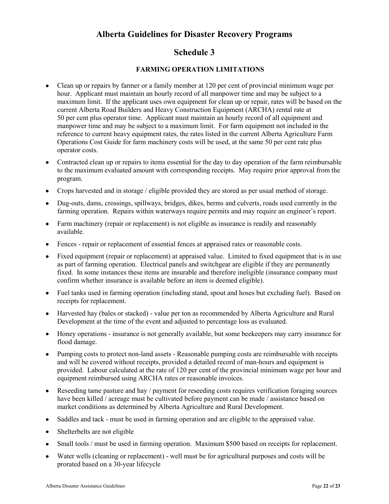### **Schedule 3**

#### **FARMING OPERATION LIMITATIONS**

- Clean up or repairs by farmer or a family member at 120 per cent of provincial minimum wage per hour. Applicant must maintain an hourly record of all manpower time and may be subject to a maximum limit. If the applicant uses own equipment for clean up or repair, rates will be based on the current Alberta Road Builders and Heavy Construction Equipment (ARCHA) rental rate at 50 per cent plus operator time. Applicant must maintain an hourly record of all equipment and manpower time and may be subject to a maximum limit. For farm equipment not included in the reference to current heavy equipment rates, the rates listed in the current Alberta Agriculture Farm Operations Cost Guide for farm machinery costs will be used, at the same 50 per cent rate plus operator costs.
- Contracted clean up or repairs to items essential for the day to day operation of the farm reimbursable  $\bullet$ to the maximum evaluated amount with corresponding receipts. May require prior approval from the program.
- Crops harvested and in storage / eligible provided they are stored as per usual method of storage.  $\bullet$
- Dug-outs, dams, crossings, spillways, bridges, dikes, berms and culverts, roads used currently in the farming operation. Repairs within waterways require permits and may require an engineer's report.
- Farm machinery (repair or replacement) is not eligible as insurance is readily and reasonably available.
- Fences repair or replacement of essential fences at appraised rates or reasonable costs.
- Fixed equipment (repair or replacement) at appraised value. Limited to fixed equipment that is in use as part of farming operation. Electrical panels and switchgear are eligible if they are permanently fixed. In some instances these items are insurable and therefore ineligible (insurance company must confirm whether insurance is available before an item is deemed eligible).
- Fuel tanks used in farming operation (including stand, spout and hoses but excluding fuel). Based on receipts for replacement.
- Harvested hay (bales or stacked) value per ton as recommended by Alberta Agriculture and Rural  $\bullet$ Development at the time of the event and adjusted to percentage loss as evaluated.
- Honey operations insurance is not generally available, but some beekeepers may carry insurance for  $\bullet$ flood damage.
- Pumping costs to protect non-land assets Reasonable pumping costs are reimbursable with receipts and will be covered without receipts, provided a detailed record of man-hours and equipment is provided. Labour calculated at the rate of 120 per cent of the provincial minimum wage per hour and equipment reimbursed using ARCHA rates or reasonable invoices.
- Reseeding tame pasture and hay / payment for reseeding costs requires verification foraging sources  $\bullet$ have been killed / acreage must be cultivated before payment can be made / assistance based on market conditions as determined by Alberta Agriculture and Rural Development.
- Saddles and tack must be used in farming operation and are eligible to the appraised value.  $\bullet$
- Shelterbelts are not eligible
- Small tools / must be used in farming operation. Maximum \$500 based on receipts for replacement.  $\bullet$
- Water wells (cleaning or replacement) well must be for agricultural purposes and costs will be  $\bullet$ prorated based on a 30-year lifecycle